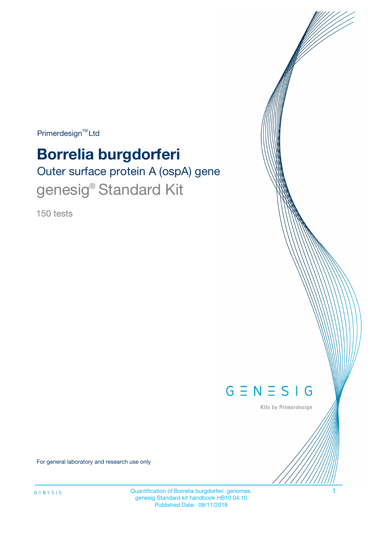$Primerdesign^{\text{TM}}Ltd$ 

# **Borrelia burgdorferi**

Outer surface protein A (ospA) gene genesig<sup>®</sup> Standard Kit

150 tests



Kits by Primerdesign

For general laboratory and research use only

Quantification of Borrelia burgdorferi genomes. 1 genesig Standard kit handbook HB10.04.10 Published Date: 09/11/2018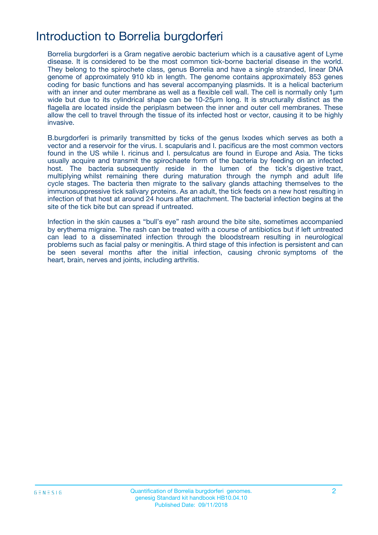### Introduction to Borrelia burgdorferi

Borrelia burgdorferi is a Gram negative aerobic bacterium which is a causative agent of Lyme disease. It is considered to be the most common tick-borne bacterial disease in the world. They belong to the spirochete class, genus Borrelia and have a single stranded, linear DNA genome of approximately 910 kb in length. The genome contains approximately 853 genes coding for basic functions and has several accompanying plasmids. It is a helical bacterium with an inner and outer membrane as well as a flexible cell wall. The cell is normally only 1µm wide but due to its cylindrical shape can be 10-25  $\mu$ m long. It is structurally distinct as the flagella are located inside the periplasm between the inner and outer cell membranes. These allow the cell to travel through the tissue of its infected host or vector, causing it to be highly invasive.

B.burgdorferi is primarily transmitted by ticks of the genus Ixodes which serves as both a vector and a reservoir for the virus. I. scapularis and I. pacificus are the most common vectors found in the US while I. ricinus and I. persulcatus are found in Europe and Asia. The ticks usually acquire and transmit the spirochaete form of the bacteria by feeding on an infected host. The bacteria subsequently reside in the lumen of the tick's digestive tract, multiplying whilst remaining there during maturation through the nymph and adult life cycle stages. The bacteria then migrate to the salivary glands attaching themselves to the immunosuppressive tick salivary proteins. As an adult, the tick feeds on a new host resulting in infection of that host at around 24 hours after attachment. The bacterial infection begins at the site of the tick bite but can spread if untreated.

Infection in the skin causes a "bull's eye" rash around the bite site, sometimes accompanied by erythema migraine. The rash can be treated with a course of antibiotics but if left untreated can lead to a disseminated infection through the bloodstream resulting in neurological problems such as facial palsy or meningitis. A third stage of this infection is persistent and can be seen several months after the initial infection, causing chronic symptoms of the heart, brain, nerves and joints, including arthritis.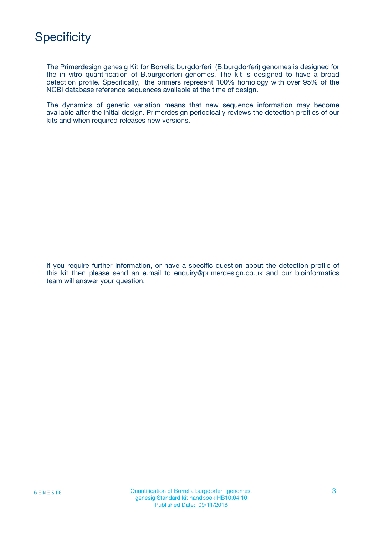

The Primerdesign genesig Kit for Borrelia burgdorferi (B.burgdorferi) genomes is designed for the in vitro quantification of B.burgdorferi genomes. The kit is designed to have a broad detection profile. Specifically, the primers represent 100% homology with over 95% of the NCBI database reference sequences available at the time of design.

The dynamics of genetic variation means that new sequence information may become available after the initial design. Primerdesign periodically reviews the detection profiles of our kits and when required releases new versions.

If you require further information, or have a specific question about the detection profile of this kit then please send an e.mail to enquiry@primerdesign.co.uk and our bioinformatics team will answer your question.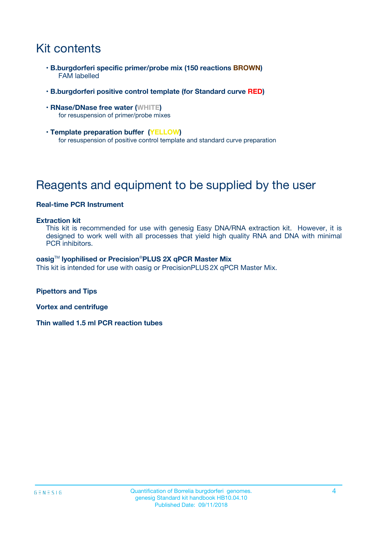# Kit contents

- **B.burgdorferi specific primer/probe mix (150 reactions BROWN)** FAM labelled
- **B.burgdorferi positive control template (for Standard curve RED)**
- **RNase/DNase free water (WHITE)** for resuspension of primer/probe mixes
- **Template preparation buffer (YELLOW)** for resuspension of positive control template and standard curve preparation

# Reagents and equipment to be supplied by the user

#### **Real-time PCR Instrument**

#### **Extraction kit**

This kit is recommended for use with genesig Easy DNA/RNA extraction kit. However, it is designed to work well with all processes that yield high quality RNA and DNA with minimal PCR inhibitors.

#### **oasig**TM **lyophilised or Precision**®**PLUS 2X qPCR Master Mix**

This kit is intended for use with oasig or PrecisionPLUS2X qPCR Master Mix.

**Pipettors and Tips**

**Vortex and centrifuge**

**Thin walled 1.5 ml PCR reaction tubes**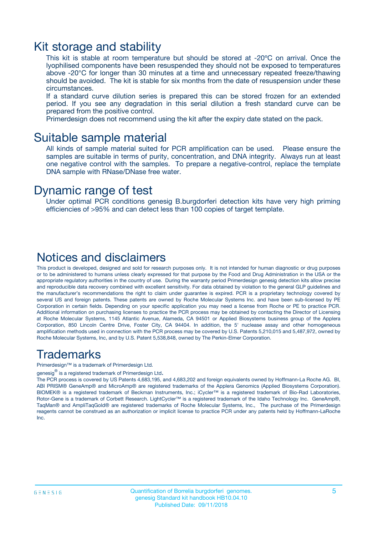### Kit storage and stability

This kit is stable at room temperature but should be stored at -20ºC on arrival. Once the lyophilised components have been resuspended they should not be exposed to temperatures above -20°C for longer than 30 minutes at a time and unnecessary repeated freeze/thawing should be avoided. The kit is stable for six months from the date of resuspension under these circumstances.

If a standard curve dilution series is prepared this can be stored frozen for an extended period. If you see any degradation in this serial dilution a fresh standard curve can be prepared from the positive control.

Primerdesign does not recommend using the kit after the expiry date stated on the pack.

### Suitable sample material

All kinds of sample material suited for PCR amplification can be used. Please ensure the samples are suitable in terms of purity, concentration, and DNA integrity. Always run at least one negative control with the samples. To prepare a negative-control, replace the template DNA sample with RNase/DNase free water.

### Dynamic range of test

Under optimal PCR conditions genesig B.burgdorferi detection kits have very high priming efficiencies of >95% and can detect less than 100 copies of target template.

### Notices and disclaimers

This product is developed, designed and sold for research purposes only. It is not intended for human diagnostic or drug purposes or to be administered to humans unless clearly expressed for that purpose by the Food and Drug Administration in the USA or the appropriate regulatory authorities in the country of use. During the warranty period Primerdesign genesig detection kits allow precise and reproducible data recovery combined with excellent sensitivity. For data obtained by violation to the general GLP guidelines and the manufacturer's recommendations the right to claim under guarantee is expired. PCR is a proprietary technology covered by several US and foreign patents. These patents are owned by Roche Molecular Systems Inc. and have been sub-licensed by PE Corporation in certain fields. Depending on your specific application you may need a license from Roche or PE to practice PCR. Additional information on purchasing licenses to practice the PCR process may be obtained by contacting the Director of Licensing at Roche Molecular Systems, 1145 Atlantic Avenue, Alameda, CA 94501 or Applied Biosystems business group of the Applera Corporation, 850 Lincoln Centre Drive, Foster City, CA 94404. In addition, the 5' nuclease assay and other homogeneous amplification methods used in connection with the PCR process may be covered by U.S. Patents 5,210,015 and 5,487,972, owned by Roche Molecular Systems, Inc, and by U.S. Patent 5,538,848, owned by The Perkin-Elmer Corporation.

### Trademarks

Primerdesign™ is a trademark of Primerdesign Ltd.

genesig $^\circledR$  is a registered trademark of Primerdesign Ltd.

The PCR process is covered by US Patents 4,683,195, and 4,683,202 and foreign equivalents owned by Hoffmann-La Roche AG. BI, ABI PRISM® GeneAmp® and MicroAmp® are registered trademarks of the Applera Genomics (Applied Biosystems Corporation). BIOMEK® is a registered trademark of Beckman Instruments, Inc.; iCycler™ is a registered trademark of Bio-Rad Laboratories, Rotor-Gene is a trademark of Corbett Research. LightCycler™ is a registered trademark of the Idaho Technology Inc. GeneAmp®, TaqMan® and AmpliTaqGold® are registered trademarks of Roche Molecular Systems, Inc., The purchase of the Primerdesign reagents cannot be construed as an authorization or implicit license to practice PCR under any patents held by Hoffmann-LaRoche Inc.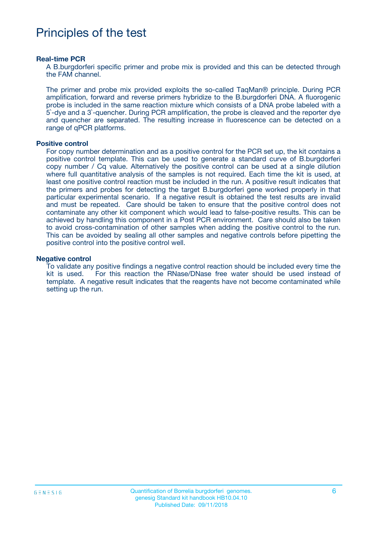### Principles of the test

#### **Real-time PCR**

A B.burgdorferi specific primer and probe mix is provided and this can be detected through the FAM channel.

The primer and probe mix provided exploits the so-called TaqMan® principle. During PCR amplification, forward and reverse primers hybridize to the B.burgdorferi DNA. A fluorogenic probe is included in the same reaction mixture which consists of a DNA probe labeled with a 5`-dye and a 3`-quencher. During PCR amplification, the probe is cleaved and the reporter dye and quencher are separated. The resulting increase in fluorescence can be detected on a range of qPCR platforms.

#### **Positive control**

For copy number determination and as a positive control for the PCR set up, the kit contains a positive control template. This can be used to generate a standard curve of B.burgdorferi copy number / Cq value. Alternatively the positive control can be used at a single dilution where full quantitative analysis of the samples is not required. Each time the kit is used, at least one positive control reaction must be included in the run. A positive result indicates that the primers and probes for detecting the target B.burgdorferi gene worked properly in that particular experimental scenario. If a negative result is obtained the test results are invalid and must be repeated. Care should be taken to ensure that the positive control does not contaminate any other kit component which would lead to false-positive results. This can be achieved by handling this component in a Post PCR environment. Care should also be taken to avoid cross-contamination of other samples when adding the positive control to the run. This can be avoided by sealing all other samples and negative controls before pipetting the positive control into the positive control well.

#### **Negative control**

To validate any positive findings a negative control reaction should be included every time the kit is used. For this reaction the RNase/DNase free water should be used instead of template. A negative result indicates that the reagents have not become contaminated while setting up the run.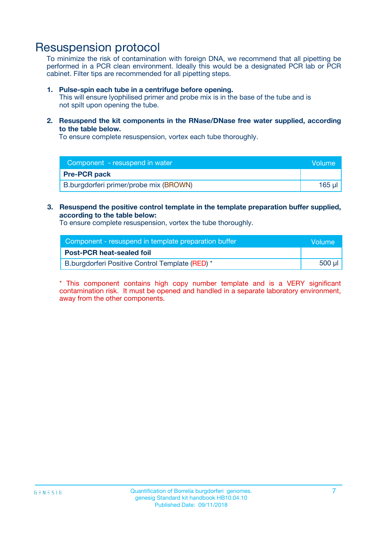### Resuspension protocol

To minimize the risk of contamination with foreign DNA, we recommend that all pipetting be performed in a PCR clean environment. Ideally this would be a designated PCR lab or PCR cabinet. Filter tips are recommended for all pipetting steps.

#### **1. Pulse-spin each tube in a centrifuge before opening.**

This will ensure lyophilised primer and probe mix is in the base of the tube and is not spilt upon opening the tube.

**2. Resuspend the kit components in the RNase/DNase free water supplied, according to the table below.**

To ensure complete resuspension, vortex each tube thoroughly.

| Component - resuspend in water         | Volume |
|----------------------------------------|--------|
| <b>Pre-PCR pack</b>                    |        |
| B.burgdorferi primer/probe mix (BROWN) | 165 ul |

#### **3. Resuspend the positive control template in the template preparation buffer supplied, according to the table below:**

To ensure complete resuspension, vortex the tube thoroughly.

| Component - resuspend in template preparation buffer | Volume      |
|------------------------------------------------------|-------------|
| <b>Post-PCR heat-sealed foil</b>                     |             |
| B.burgdorferi Positive Control Template (RED) *      | $500$ $\mu$ |

\* This component contains high copy number template and is a VERY significant contamination risk. It must be opened and handled in a separate laboratory environment, away from the other components.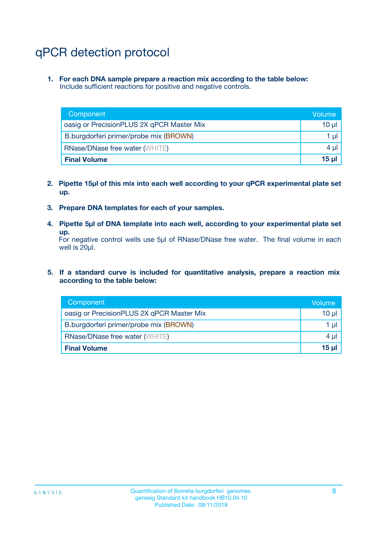# qPCR detection protocol

**1. For each DNA sample prepare a reaction mix according to the table below:** Include sufficient reactions for positive and negative controls.

| Component                                 | Volume   |
|-------------------------------------------|----------|
| oasig or PrecisionPLUS 2X qPCR Master Mix | 10 $\mu$ |
| B.burgdorferi primer/probe mix (BROWN)    | 1 $\mu$  |
| <b>RNase/DNase free water (WHITE)</b>     | $4 \mu$  |
| <b>Final Volume</b>                       | $15 \mu$ |

- **2. Pipette 15µl of this mix into each well according to your qPCR experimental plate set up.**
- **3. Prepare DNA templates for each of your samples.**
- **4. Pipette 5µl of DNA template into each well, according to your experimental plate set up.**

For negative control wells use 5µl of RNase/DNase free water. The final volume in each well is 20µl.

**5. If a standard curve is included for quantitative analysis, prepare a reaction mix according to the table below:**

| Component                                 | Volume   |
|-------------------------------------------|----------|
| oasig or PrecisionPLUS 2X qPCR Master Mix | 10 µl    |
| B.burgdorferi primer/probe mix (BROWN)    | 1 µI     |
| <b>RNase/DNase free water (WHITE)</b>     | $4 \mu$  |
| <b>Final Volume</b>                       | $15 \mu$ |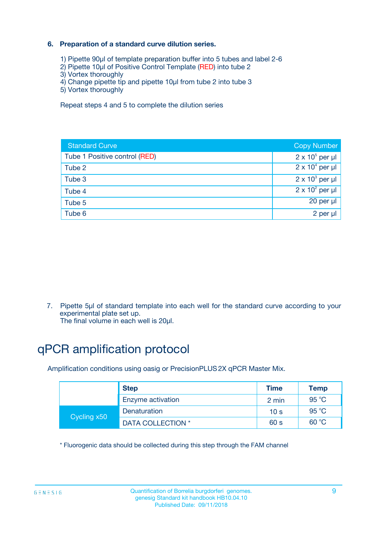#### **6. Preparation of a standard curve dilution series.**

- 1) Pipette 90µl of template preparation buffer into 5 tubes and label 2-6
- 2) Pipette 10µl of Positive Control Template (RED) into tube 2
- 3) Vortex thoroughly
- 4) Change pipette tip and pipette 10µl from tube 2 into tube 3
- 5) Vortex thoroughly

Repeat steps 4 and 5 to complete the dilution series

| <b>Standard Curve</b>         | <b>Copy Number</b>     |
|-------------------------------|------------------------|
| Tube 1 Positive control (RED) | $2 \times 10^5$ per µl |
| Tube 2                        | $2 \times 10^4$ per µl |
| Tube 3                        | $2 \times 10^3$ per µl |
| Tube 4                        | $2 \times 10^2$ per µl |
| Tube 5                        | 20 per µl              |
| Tube 6                        | 2 per ul               |

7. Pipette 5µl of standard template into each well for the standard curve according to your experimental plate set up.

The final volume in each well is 20µl.

# qPCR amplification protocol

Amplification conditions using oasig or PrecisionPLUS2X qPCR Master Mix.

|             | <b>Step</b>       | <b>Time</b>     | Temp    |
|-------------|-------------------|-----------------|---------|
|             | Enzyme activation | 2 min           | 95 °C   |
| Cycling x50 | Denaturation      | 10 <sub>s</sub> | 95 $°C$ |
|             | DATA COLLECTION * | 60 s            | 60 °C   |

\* Fluorogenic data should be collected during this step through the FAM channel